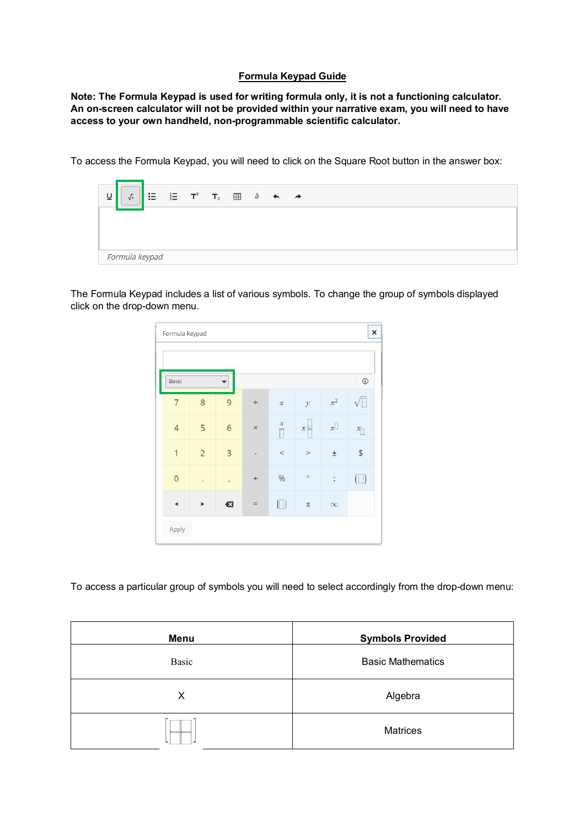## **Formula Keypad Guide**

**Note: The Formula Keypad is used for writing formula only, it is not a functioning calculator. An on-screen calculator will not be provided within your narrative exam, you will need to have access to your own handheld, non-programmable scientific calculator.** 

To access the Formula Keypad, you will need to click on the Square Root button in the answer box:



The Formula Keypad includes a list of various symbols. To change the group of symbols displayed click on the drop-down menu.

| Formula keypad |                      |                |                 |                            |                   |                | $\times$                                          |
|----------------|----------------------|----------------|-----------------|----------------------------|-------------------|----------------|---------------------------------------------------|
| Basic          |                      |                |                 |                            |                   |                | $\copyright$                                      |
| $\overline{7}$ | 8                    | $\overline{9}$ | $\div$          | $\boldsymbol{\mathcal{X}}$ | $\mathcal{Y}$     | $\mathbf{x}^2$ | $\sqrt{\Box}$                                     |
| $\overline{4}$ | 5                    | $\overline{6}$ | $\times$        | $\frac{x}{\Box}$           | $x \frac{1}{n-1}$ | $x^\Box$       | $x_{\fbox{}}$                                     |
| $\mathbf{1}$   | $\overline{2}$       | $\mathbf{3}$   |                 | $\,<$                      | $\, >$            | $\pm$          | $\, \, \raisebox{-1.5pt}{\text{\circle*{1.5}}}\,$ |
| $\overline{0}$ | $\ddot{\phantom{0}}$ | $\bar{I}$      | $^{\mathrm{+}}$ | $\%$                       | $\circ$           | $\colon$       | $(\Box)$                                          |
|                | ▶                    | €              | $=$             | $\Box$                     | $\pi$             | $\infty$       |                                                   |
| Apply          |                      |                |                 |                            |                   |                |                                                   |

To access a particular group of symbols you will need to select accordingly from the drop-down menu:

| Menu  | <b>Symbols Provided</b>  |
|-------|--------------------------|
| Basic | <b>Basic Mathematics</b> |
| х     | Algebra                  |
|       | <b>Matrices</b>          |